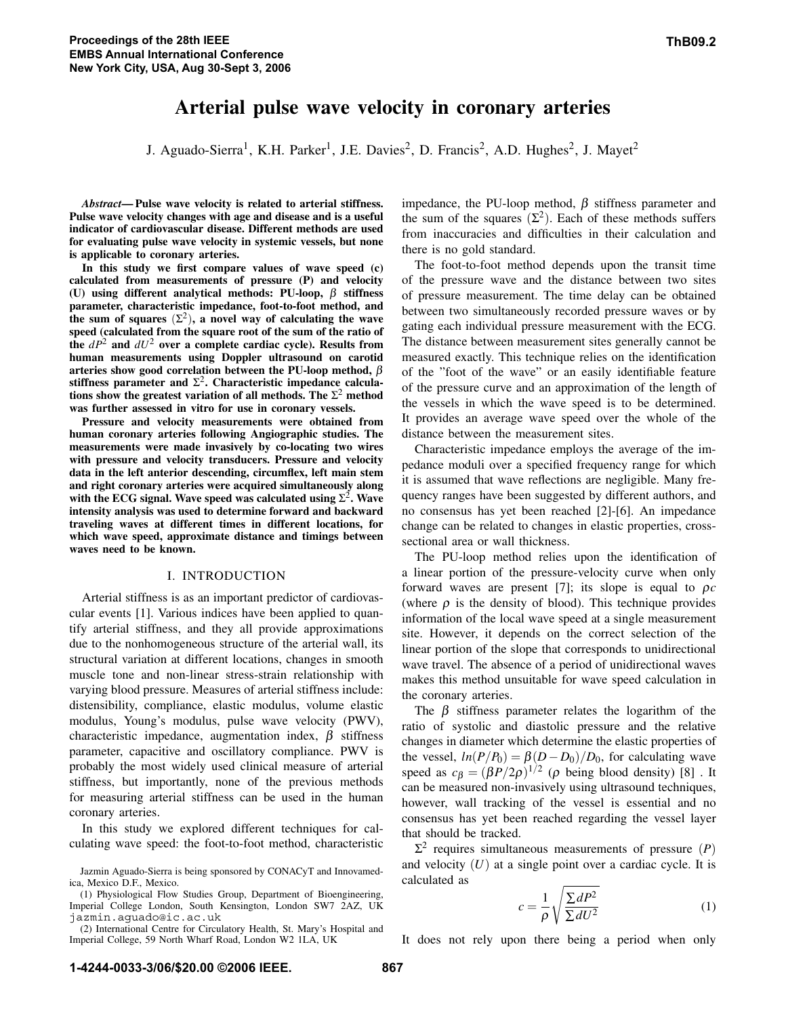# **Arterial pulse wave velocity in coronary arteries**

J. Aguado-Sierra<sup>1</sup>, K.H. Parker<sup>1</sup>, J.E. Davies<sup>2</sup>, D. Francis<sup>2</sup>, A.D. Hughes<sup>2</sup>, J. Mayet<sup>2</sup>

*Abstract***— Pulse wave velocity is related to arterial stiffness. Pulse wave velocity changes with age and disease and is a useful indicator of cardiovascular disease. Different methods are used for evaluating pulse wave velocity in systemic vessels, but none is applicable to coronary arteries.**

**In this study we first compare values of wave speed (c) calculated from measurements of pressure (P) and velocity (U) using different analytical methods: PU-loop,** β **stiffness parameter, characteristic impedance, foot-to-foot method, and** the sum of squares  $(\Sigma^2)$ , a novel way of calculating the wave **speed (calculated from the square root of the sum of the ratio of** the  $dP^2$  and  $dU^2$  over a complete cardiac cycle). Results from **human measurements using Doppler ultrasound on carotid arteries show good correlation between the PU-loop method,** β stiffness parameter and  $\Sigma^2$ . Characteristic impedance calcula**tions show the greatest variation of all methods. The**  $\Sigma^2$  method **was further assessed in vitro for use in coronary vessels.**

**Pressure and velocity measurements were obtained from human coronary arteries following Angiographic studies. The measurements were made invasively by co-locating two wires with pressure and velocity transducers. Pressure and velocity data in the left anterior descending, circumflex, left main stem and right coronary arteries were acquired simultaneously along** with the ECG signal. Wave speed was calculated using  $\Sigma^2$ . Wave **intensity analysis was used to determine forward and backward traveling waves at different times in different locations, for which wave speed, approximate distance and timings between waves need to be known.**

## I. INTRODUCTION

Arterial stiffness is as an important predictor of cardiovascular events [1]. Various indices have been applied to quantify arterial stiffness, and they all provide approximations due to the nonhomogeneous structure of the arterial wall, its structural variation at different locations, changes in smooth muscle tone and non-linear stress-strain relationship with varying blood pressure. Measures of arterial stiffness include: distensibility, compliance, elastic modulus, volume elastic modulus, Young's modulus, pulse wave velocity (PWV), characteristic impedance, augmentation index,  $\beta$  stiffness parameter, capacitive and oscillatory compliance. PWV is probably the most widely used clinical measure of arterial stiffness, but importantly, none of the previous methods for measuring arterial stiffness can be used in the human coronary arteries.

In this study we explored different techniques for calculating wave speed: the foot-to-foot method, characteristic impedance, the PU-loop method,  $β$  stiffness parameter and the sum of the squares  $(\Sigma^2)$ . Each of these methods suffers from inaccuracies and difficulties in their calculation and there is no gold standard.

The foot-to-foot method depends upon the transit time of the pressure wave and the distance between two sites of pressure measurement. The time delay can be obtained between two simultaneously recorded pressure waves or by gating each individual pressure measurement with the ECG. The distance between measurement sites generally cannot be measured exactly. This technique relies on the identification of the "foot of the wave" or an easily identifiable feature of the pressure curve and an approximation of the length of the vessels in which the wave speed is to be determined. It provides an average wave speed over the whole of the distance between the measurement sites.

Characteristic impedance employs the average of the impedance moduli over a specified frequency range for which it is assumed that wave reflections are negligible. Many frequency ranges have been suggested by different authors, and no consensus has yet been reached [2]-[6]. An impedance change can be related to changes in elastic properties, crosssectional area or wall thickness.

The PU-loop method relies upon the identification of a linear portion of the pressure-velocity curve when only forward waves are present [7]; its slope is equal to ρ*c* (where  $\rho$  is the density of blood). This technique provides information of the local wave speed at a single measurement site. However, it depends on the correct selection of the linear portion of the slope that corresponds to unidirectional wave travel. The absence of a period of unidirectional waves makes this method unsuitable for wave speed calculation in the coronary arteries.

The  $\beta$  stiffness parameter relates the logarithm of the ratio of systolic and diastolic pressure and the relative changes in diameter which determine the elastic properties of the vessel,  $ln(P/P_0) = \beta(D - D_0)/D_0$ , for calculating wave speed as  $c_{\beta} = (\beta P/2\rho)^{1/2}$  ( $\rho$  being blood density) [8]. It can be measured non-invasively using ultrasound techniques, however, wall tracking of the vessel is essential and no consensus has yet been reached regarding the vessel layer that should be tracked.

 $\Sigma^2$  requires simultaneous measurements of pressure (*P*) and velocity  $(U)$  at a single point over a cardiac cycle. It is calculated as

$$
c = \frac{1}{\rho} \sqrt{\frac{\sum dP^2}{\sum dU^2}} \tag{1}
$$

It does not rely upon there being a period when only

Jazmin Aguado-Sierra is being sponsored by CONACyT and Innovamedica, Mexico D.F., Mexico.

<sup>(1)</sup> Physiological Flow Studies Group, Department of Bioengineering, Imperial College London, South Kensington, London SW7 2AZ, UK jazmin.aguado@ic.ac.uk

<sup>(2)</sup> International Centre for Circulatory Health, St. Mary's Hospital and Imperial College, 59 North Wharf Road, London W2 1LA, UK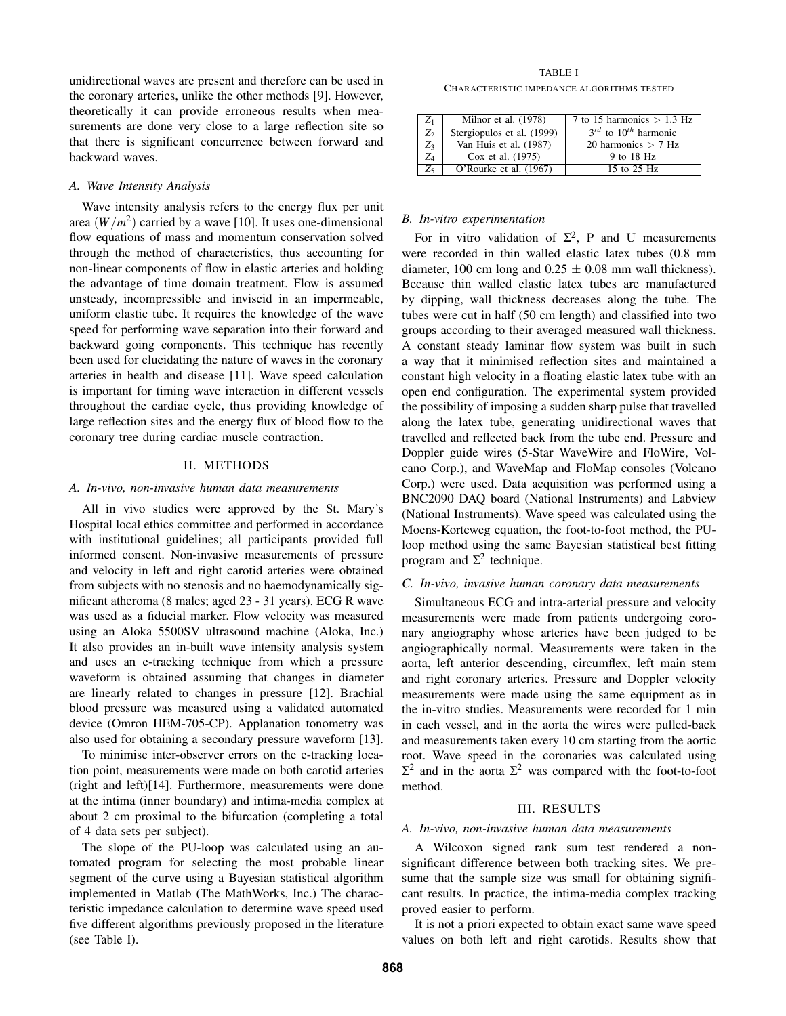unidirectional waves are present and therefore can be used in the coronary arteries, unlike the other methods [9]. However, theoretically it can provide erroneous results when measurements are done very close to a large reflection site so that there is significant concurrence between forward and backward waves.

## *A. Wave Intensity Analysis*

Wave intensity analysis refers to the energy flux per unit area  $(W/m^2)$  carried by a wave [10]. It uses one-dimensional flow equations of mass and momentum conservation solved through the method of characteristics, thus accounting for non-linear components of flow in elastic arteries and holding the advantage of time domain treatment. Flow is assumed unsteady, incompressible and inviscid in an impermeable, uniform elastic tube. It requires the knowledge of the wave speed for performing wave separation into their forward and backward going components. This technique has recently been used for elucidating the nature of waves in the coronary arteries in health and disease [11]. Wave speed calculation is important for timing wave interaction in different vessels throughout the cardiac cycle, thus providing knowledge of large reflection sites and the energy flux of blood flow to the coronary tree during cardiac muscle contraction.

# II. METHODS

# *A. In-vivo, non-invasive human data measurements*

All in vivo studies were approved by the St. Mary's Hospital local ethics committee and performed in accordance with institutional guidelines; all participants provided full informed consent. Non-invasive measurements of pressure and velocity in left and right carotid arteries were obtained from subjects with no stenosis and no haemodynamically significant atheroma (8 males; aged 23 - 31 years). ECG R wave was used as a fiducial marker. Flow velocity was measured using an Aloka 5500SV ultrasound machine (Aloka, Inc.) It also provides an in-built wave intensity analysis system and uses an e-tracking technique from which a pressure waveform is obtained assuming that changes in diameter are linearly related to changes in pressure [12]. Brachial blood pressure was measured using a validated automated device (Omron HEM-705-CP). Applanation tonometry was also used for obtaining a secondary pressure waveform [13].

To minimise inter-observer errors on the e-tracking location point, measurements were made on both carotid arteries (right and left)[14]. Furthermore, measurements were done at the intima (inner boundary) and intima-media complex at about 2 cm proximal to the bifurcation (completing a total of 4 data sets per subject).

The slope of the PU-loop was calculated using an automated program for selecting the most probable linear segment of the curve using a Bayesian statistical algorithm implemented in Matlab (The MathWorks, Inc.) The characteristic impedance calculation to determine wave speed used five different algorithms previously proposed in the literature (see Table I).

TABLE I CHARACTERISTIC IMPEDANCE ALGORITHMS TESTED

| $Z_1$ | Milnor et al. (1978)       | 7 to 15 harmonics $> 1.3$ Hz   |
|-------|----------------------------|--------------------------------|
| $Z_2$ | Stergiopulos et al. (1999) | $3^{rd}$ to $10^{th}$ harmonic |
| $Z_3$ | Van Huis et al. (1987)     | 20 harmonics $> 7$ Hz          |
| Z4    | Cox et al. (1975)          | 9 to 18 Hz                     |
| Z5.   | O'Rourke et al. (1967)     | 15 to 25 Hz                    |

## *B. In-vitro experimentation*

For in vitro validation of  $\Sigma^2$ , P and U measurements were recorded in thin walled elastic latex tubes (0.8 mm diameter, 100 cm long and  $0.25 \pm 0.08$  mm wall thickness). Because thin walled elastic latex tubes are manufactured by dipping, wall thickness decreases along the tube. The tubes were cut in half (50 cm length) and classified into two groups according to their averaged measured wall thickness. A constant steady laminar flow system was built in such a way that it minimised reflection sites and maintained a constant high velocity in a floating elastic latex tube with an open end configuration. The experimental system provided the possibility of imposing a sudden sharp pulse that travelled along the latex tube, generating unidirectional waves that travelled and reflected back from the tube end. Pressure and Doppler guide wires (5-Star WaveWire and FloWire, Volcano Corp.), and WaveMap and FloMap consoles (Volcano Corp.) were used. Data acquisition was performed using a BNC2090 DAQ board (National Instruments) and Labview (National Instruments). Wave speed was calculated using the Moens-Korteweg equation, the foot-to-foot method, the PUloop method using the same Bayesian statistical best fitting program and  $Σ<sup>2</sup>$  technique.

## *C. In-vivo, invasive human coronary data measurements*

Simultaneous ECG and intra-arterial pressure and velocity measurements were made from patients undergoing coronary angiography whose arteries have been judged to be angiographically normal. Measurements were taken in the aorta, left anterior descending, circumflex, left main stem and right coronary arteries. Pressure and Doppler velocity measurements were made using the same equipment as in the in-vitro studies. Measurements were recorded for 1 min in each vessel, and in the aorta the wires were pulled-back and measurements taken every 10 cm starting from the aortic root. Wave speed in the coronaries was calculated using  $Σ<sup>2</sup>$  and in the aorta  $Σ<sup>2</sup>$  was compared with the foot-to-foot method.

## III. RESULTS

#### *A. In-vivo, non-invasive human data measurements*

A Wilcoxon signed rank sum test rendered a nonsignificant difference between both tracking sites. We presume that the sample size was small for obtaining significant results. In practice, the intima-media complex tracking proved easier to perform.

It is not a priori expected to obtain exact same wave speed values on both left and right carotids. Results show that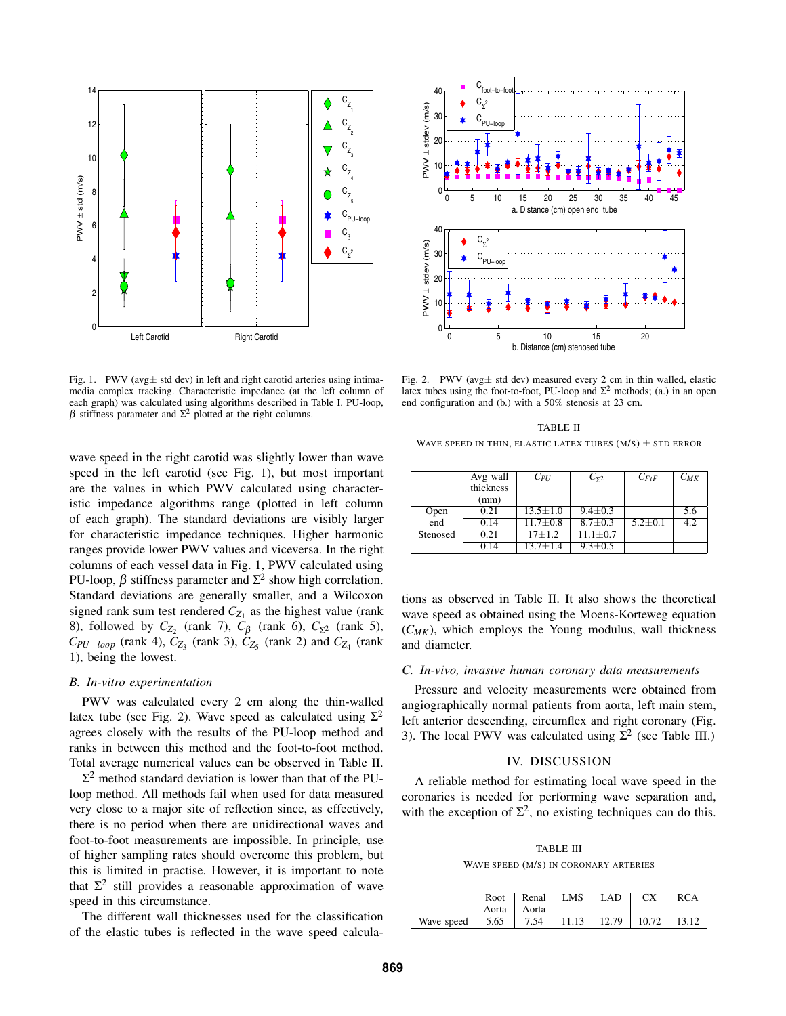

Fig. 1. PWV (avg $\pm$  std dev) in left and right carotid arteries using intimamedia complex tracking. Characteristic impedance (at the left column of each graph) was calculated using algorithms described in Table I. PU-loop,  $β$  stiffness parameter and  $Σ<sup>2</sup>$  plotted at the right columns.

wave speed in the right carotid was slightly lower than wave speed in the left carotid (see Fig. 1), but most important are the values in which PWV calculated using characteristic impedance algorithms range (plotted in left column of each graph). The standard deviations are visibly larger for characteristic impedance techniques. Higher harmonic ranges provide lower PWV values and viceversa. In the right columns of each vessel data in Fig. 1, PWV calculated using PU-loop,  $\beta$  stiffness parameter and  $\Sigma^2$  show high correlation. Standard deviations are generally smaller, and a Wilcoxon signed rank sum test rendered  $C_{Z_1}$  as the highest value (rank 8), followed by  $C_{Z_2}$  (rank 7),  $C_{\beta}$  (rank 6),  $C_{\Sigma^2}$  (rank 5),  $C_{PU-loop}$  (rank 4),  $C_{Z_3}$  (rank 3),  $C_{Z_5}$  (rank 2) and  $C_{Z_4}$  (rank 1), being the lowest.

## *B. In-vitro experimentation*

PWV was calculated every 2 cm along the thin-walled latex tube (see Fig. 2). Wave speed as calculated using  $\Sigma^2$ agrees closely with the results of the PU-loop method and ranks in between this method and the foot-to-foot method. Total average numerical values can be observed in Table II.

 $\Sigma^2$  method standard deviation is lower than that of the PUloop method. All methods fail when used for data measured very close to a major site of reflection since, as effectively, there is no period when there are unidirectional waves and foot-to-foot measurements are impossible. In principle, use of higher sampling rates should overcome this problem, but this is limited in practise. However, it is important to note that  $\Sigma^2$  still provides a reasonable approximation of wave speed in this circumstance.

The different wall thicknesses used for the classification of the elastic tubes is reflected in the wave speed calcula-



Fig. 2. PWV (avg $\pm$  std dev) measured every 2 cm in thin walled, elastic latex tubes using the foot-to-foot, PU-loop and  $\Sigma^2$  methods; (a.) in an open end configuration and (b.) with a 50% stenosis at 23 cm.

TABLE II WAVE SPEED IN THIN, ELASTIC LATEX TUBES  $(M/S) \pm$  STD ERROR

|             | Avg wall<br>thickness | $C_{PI}$       | $C_{\Sigma^2}$ | $C_{FtF}$     | $C_{MK}$ |
|-------------|-----------------------|----------------|----------------|---------------|----------|
|             | (mm)                  |                |                |               |          |
| Open<br>end | 0.21                  | $13.5 \pm 1.0$ | $9.4 \pm 0.3$  |               | 5.6      |
|             | 0.14                  | $11.7 \pm 0.8$ | $8.7 \pm 0.3$  | $5.2 \pm 0.1$ | 4.2      |
| Stenosed    | 0.21                  | $17 + 1.2$     | $11.1 + 0.7$   |               |          |
|             | 0.14                  | $13.7 \pm 1.4$ | $9.3 \pm 0.5$  |               |          |

tions as observed in Table II. It also shows the theoretical wave speed as obtained using the Moens-Korteweg equation  $(C_{MK})$ , which employs the Young modulus, wall thickness and diameter.

## *C. In-vivo, invasive human coronary data measurements*

Pressure and velocity measurements were obtained from angiographically normal patients from aorta, left main stem, left anterior descending, circumflex and right coronary (Fig. 3). The local PWV was calculated using  $\Sigma^2$  (see Table III.)

# IV. DISCUSSION

A reliable method for estimating local wave speed in the coronaries is needed for performing wave separation and, with the exception of  $\Sigma^2$ , no existing techniques can do this.

TABLE III WAVE SPEED (M/S) IN CORONARY ARTERIES

|                         | Root<br>Aorta | Renal<br>Aorta | LMS. | LAD | CX                              | <b>RCA</b> |
|-------------------------|---------------|----------------|------|-----|---------------------------------|------------|
| Wave speed $\vert$ 5.65 |               | 7.54           |      |     | $11.13$   12.79   10.72   13.12 |            |